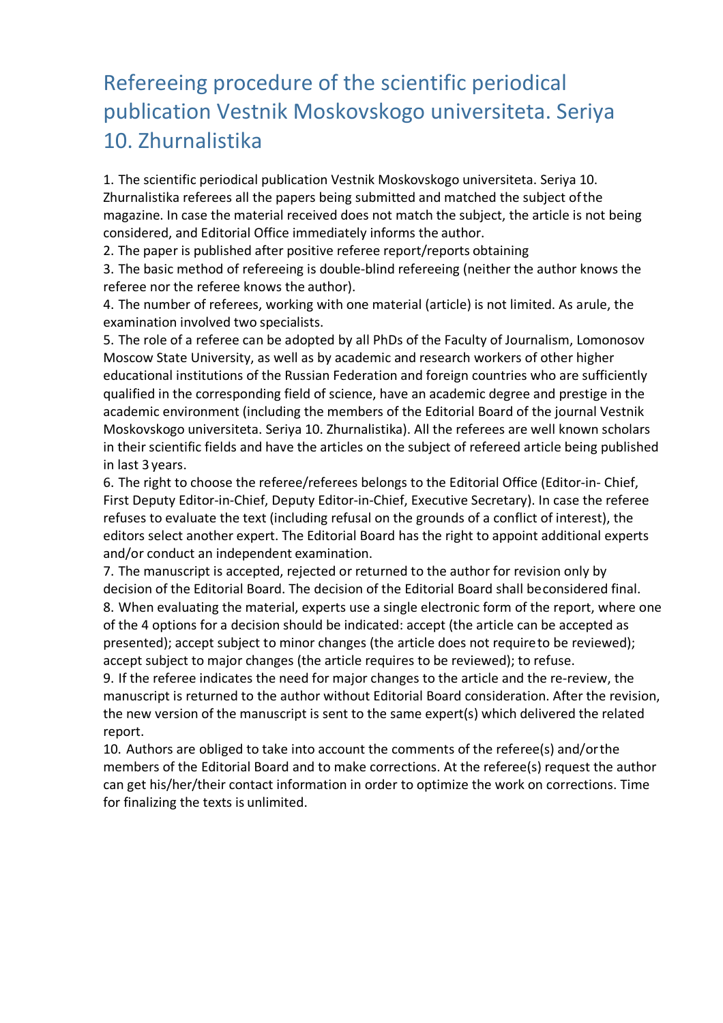## Refereeing procedure of the scientific periodical publication Vestnik Moskovskogo universiteta. Seriya 10. Zhurnalistika

1. The scientific periodical publication Vestnik Moskovskogo universiteta. Seriya 10. Zhurnalistika referees all the papers being submitted and matched the subject ofthe magazine. In case the material received does not match the subject, the article is not being considered, and Editorial Office immediately informs the author.

2. The paper is published after positive referee report/reports obtaining

3. The basic method of refereeing is double-blind refereeing (neither the author knows the referee nor the referee knows the author).

4. The number of referees, working with one material (article) is not limited. As arule, the examination involved two specialists.

5. The role of a referee can be adopted by all PhDs of the Faculty of Journalism, Lomonosov Moscow State University, as well as by academic and research workers of other higher educational institutions of the Russian Federation and foreign countries who are sufficiently qualified in the corresponding field of science, have an academic degree and prestige in the academic environment (including the members of the Editorial Board of the journal Vestnik Moskovskogo universiteta. Seriya 10. Zhurnalistika). All the referees are well known scholars in their scientific fields and have the articles on the subject of refereed article being published in last 3 years.

6. The right to choose the referee/referees belongs to the Editorial Office (Editor-in- Chief, First Deputy Editor-in-Chief, Deputy Editor-in-Chief, Executive Secretary). In case the referee refuses to evaluate the text (including refusal on the grounds of a conflict of interest), the editors select another expert. The Editorial Board has the right to appoint additional experts and/or conduct an independent examination.

7. The manuscript is accepted, rejected or returned to the author for revision only by decision of the Editorial Board. The decision of the Editorial Board shall beconsidered final. 8. When evaluating the material, experts use a single electronic form of the report, where one of the 4 options for a decision should be indicated: accept (the article can be accepted as presented); accept subject to minor changes (the article does not requireto be reviewed); accept subject to major changes (the article requires to be reviewed); to refuse.

9. If the referee indicates the need for major changes to the article and the re-review, the manuscript is returned to the author without Editorial Board consideration. After the revision, the new version of the manuscript is sent to the same expert(s) which delivered the related report.

10. Authors are obliged to take into account the comments of the referee(s) and/orthe members of the Editorial Board and to make corrections. At the referee(s) request the author can get his/her/their contact information in order to optimize the work on corrections. Time for finalizing the texts is unlimited.